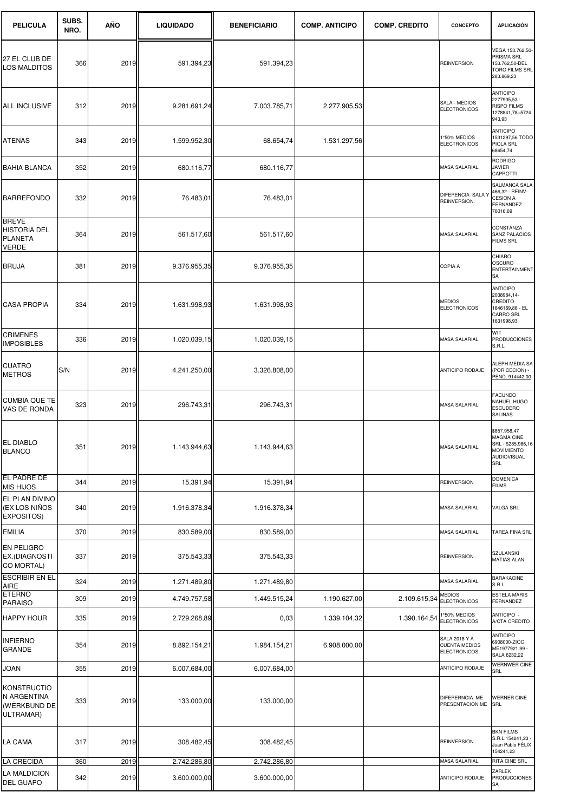| <b>PELICULA</b>                                                       | SUBS.<br>NRO. | AÑO  | <b>LIQUIDADO</b> | <b>BENEFICIARIO</b> | <b>COMP. ANTICIPO</b> | <b>COMP. CREDITO</b> | CONCEPTO                                                            | <b>APLICACIÓN</b>                                                                                  |
|-----------------------------------------------------------------------|---------------|------|------------------|---------------------|-----------------------|----------------------|---------------------------------------------------------------------|----------------------------------------------------------------------------------------------------|
| 27 EL CLUB DE<br><b>LOS MALDITOS</b>                                  | 366           | 2019 | 591.394,23       | 591.394,23          |                       |                      | <b>REINVERSION</b>                                                  | VEGA 153.762,50-<br>PRISMA SRL<br>153.762,50-DEL<br>TORO FILMS SRL<br>283.869,23                   |
| ALL INCLUSIVE                                                         | 312           | 2019 | 9.281.691,24     | 7.003.785,71        | 2.277.905,53          |                      | SALA - MEDIOS<br><b>ELECTRONICOS</b>                                | <b>ANTICIPO</b><br>2277905,53 -<br><b>RISPO FILMS</b><br>1278841,78+5724<br>943,93                 |
| ATENAS                                                                | 343           | 2019 | 1.599.952,30     | 68.654,74           | 1.531.297,56          |                      | 1°50% MEDIOS<br><b>ELECTRONICOS</b>                                 | <b>ANTICIPO</b><br>1531297,56 TODO<br>PIOLA SRL<br>68654,74                                        |
| <b>BAHIA BLANCA</b>                                                   | 352           | 2019 | 680.116,77       | 680.116,77          |                       |                      | <b>MASA SALARIAL</b>                                                | <b>RODRIGO</b><br>JAVIER<br>CAPROTTI                                                               |
| BARREFONDO                                                            | 332           | 2019 | 76.483,01        | 76.483,01           |                       |                      | DIFERENCIA SALA Y<br>REINVERSION.                                   | SALMANCA SALA<br>466,32 - REINV-<br><b>CESION A</b><br>FERNANDEZ<br>76016,69                       |
| <b>BREVE</b><br><b>HISTORIA DEL</b><br><b>PLANETA</b><br><b>VERDE</b> | 364           | 2019 | 561.517,60       | 561.517,60          |                       |                      | <b>MASA SALARIAL</b>                                                | CONSTANZA<br><b>SANZ PALACIOS</b><br><b>FILMS SRL</b>                                              |
| BRUJA                                                                 | 381           | 2019 | 9.376.955,35     | 9.376.955,35        |                       |                      | <b>COPIA A</b>                                                      | CHIARO<br>OSCURO<br><b>ENTERTAINMENT</b><br>SA                                                     |
| <b>CASA PROPIA</b>                                                    | 334           | 2019 | 1.631.998,93     | 1.631.998,93        |                       |                      | <b>MEDIOS</b><br><b>ELECTRONICOS</b>                                | <b>ANTICIPO</b><br>2038984,14-<br>CREDITO<br>1646169,86 - EL<br>CARRO SRL<br>1631998,93            |
| <b>CRIMENES</b><br><b>IMPOSIBLES</b>                                  | 336           | 2019 | 1.020.039,15     | 1.020.039,15        |                       |                      | <b>MASA SALARIAL</b>                                                | WIT<br><b>PRODUCCIONES</b><br>S.R.L.                                                               |
| <b>CUATRO</b><br><b>METROS</b>                                        | S/N           | 2019 | 4.241.250,00     | 3.326.808,00        |                       |                      | ANTICIPO RODAJE                                                     | ALEPH MEDIA SA<br>(POR CECION) -<br>PEND. 914442,00                                                |
| <b>CUMBIA QUE TE</b><br>VAS DE RONDA                                  | 323           | 2019 | 296.743,31       | 296.743,31          |                       |                      | <b>MASA SALARIAL</b>                                                | <b>FACUNDO</b><br>NAHUEL HUGO<br><b>ESCUDERO</b><br><b>SALINAS</b>                                 |
| EL DIABLO<br><b>BLANCO</b>                                            | 351           | 2019 | 1.143.944,63     | 1.143.944,63        |                       |                      | MASA SALARIAL                                                       | \$857.958,47<br>MAGMA CINE<br>SRL - \$285.986,16<br><b>MOVIMIENTO</b><br><b>AUDIOVISUAL</b><br>SRL |
| EL PADRE DE<br><b>MIS HIJOS</b>                                       | 344           | 2019 | 15.391,94        | 15.391,94           |                       |                      | <b>REINVERSION</b>                                                  | <b>DOMENICA</b><br><b>FILMS</b>                                                                    |
| EL PLAN DIVINO<br>(EX LOS NIÑOS<br>EXPOSITOS)                         | 340           | 2019 | 1.916.378,34     | 1.916.378,34        |                       |                      | <b>MASA SALARIAL</b>                                                | VALGA SRL                                                                                          |
| EMILIA                                                                | 370           | 2019 | 830.589,00       | 830.589,00          |                       |                      | <b>MASA SALARIAL</b>                                                | TAREA FINA SRL                                                                                     |
| EN PELIGRO<br>EX.(DIAGNOSTI<br>CO MORTAL)                             | 337           | 2019 | 375.543,33       | 375.543,33          |                       |                      | <b>REINVERSION</b>                                                  | SZULANSKI<br><b>MATIAS ALAN</b>                                                                    |
| <b>ESCRIBIR EN EL</b><br>AIRE                                         | 324           | 2019 | 1.271.489,80     | 1.271.489,80        |                       |                      | MASA SALARIAL                                                       | <b>BARAKACINE</b><br>S.R.L.                                                                        |
| <b>ETERNO</b><br><b>PARAISO</b>                                       | 309           | 2019 | 4.749.757,58     | 1.449.515,24        | 1.190.627,00          | 2.109.615,34         | <b>MEDIOS</b><br><b>ELECTRONICOS</b>                                | <b>ESTELA MARIS</b><br>FERNANDEZ                                                                   |
| <b>HAPPY HOUR</b>                                                     | 335           | 2019 | 2.729.268,89     | 0,03                | 1.339.104,32          | 1.390.164,54         | 1°50% MEDIOS<br><b>ELECTRONICOS</b>                                 | ANTICIPO -<br>A/CTA CREDITO                                                                        |
| <b>INFIERNO</b><br>GRANDE                                             | 354           | 2019 | 8.892.154,21     | 1.984.154,21        | 6.908.000,00          |                      | <b>SALA 2018 Y A</b><br><b>CUENTA MEDIOS</b><br><b>ELECTRONICOS</b> | <b>ANTICIPO</b><br>6908000-ZIOC<br>ME1977921,99<br>SALA 6232,22                                    |
| JOAN                                                                  | 355           | 2019 | 6.007.684,00     | 6.007.684,00        |                       |                      | ANTICIPO RODAJE                                                     | <b>WERNWER CINE</b><br>SRL                                                                         |
| <b>KONSTRUCTIO</b><br>N ARGENTINA<br>(WERKBUND DE<br>ULTRAMAR)        | 333           | 2019 | 133.000,00       | 133.000,00          |                       |                      | DIFERERNCIA ME<br>PRESENTACION ME                                   | <b>WERNER CINE</b><br>SRL                                                                          |
| LA CAMA                                                               | 317           | 2019 | 308.482,45       | 308.482,45          |                       |                      | <b>REINVERSION</b>                                                  | <b>BKN FILMS</b><br>S.R.L.154241,23 -<br>Juan Pablo FÉLIX<br>154241,23                             |
| LA CRECIDA                                                            | 360           | 2019 | 2.742.286,80     | 2.742.286,80        |                       |                      | MASA SALARIAL                                                       | RITA CINE SRL                                                                                      |
| LA MALDICION<br>DEL GUAPO                                             | 342           | 2019 | 3.600.000,00     | 3.600.000,00        |                       |                      | ANTICIPO RODAJE                                                     | ZARLEK<br><b>PRODUCCIONES</b><br>SA                                                                |